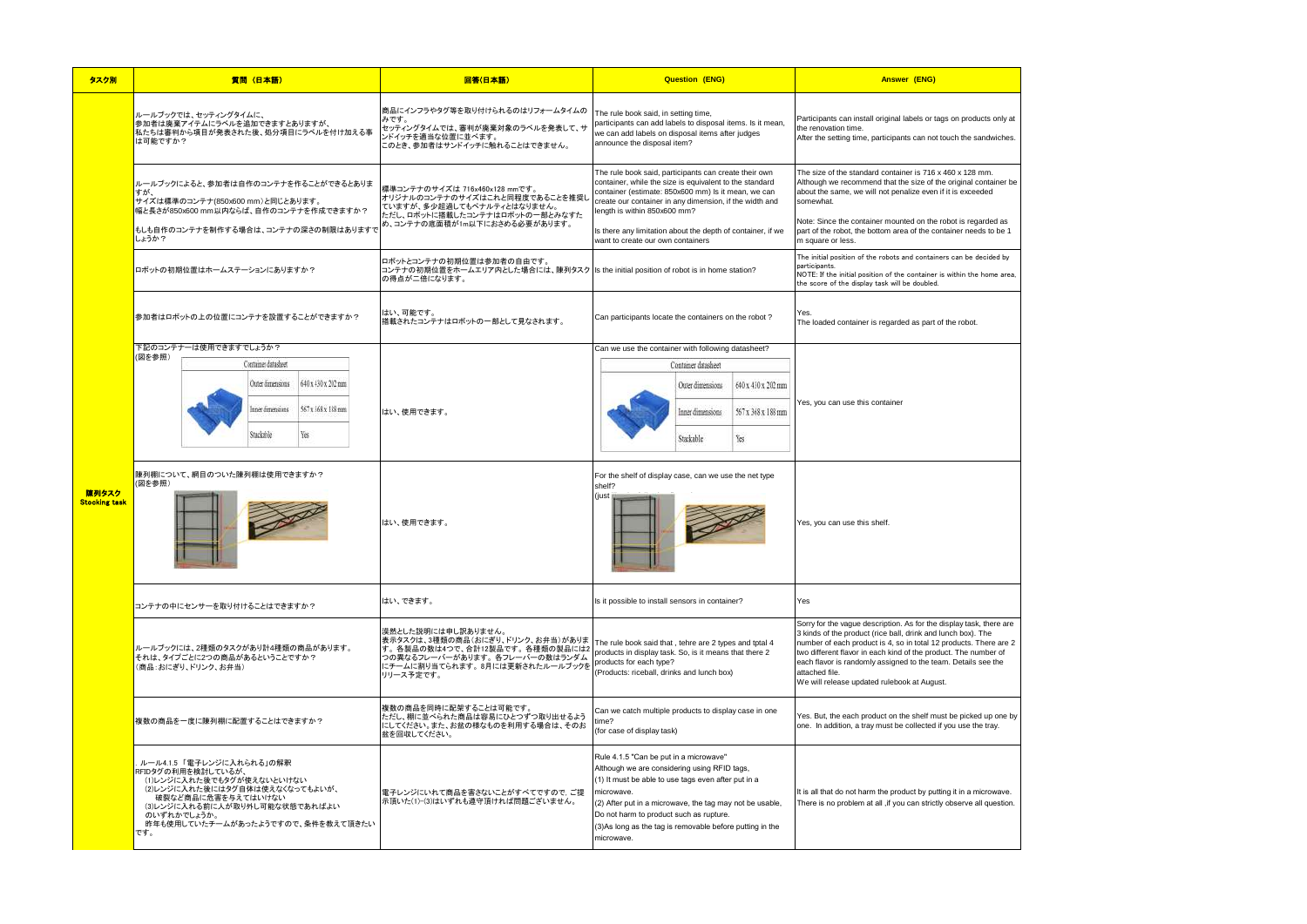| lucts only at               |  |
|-----------------------------|--|
| sandwiches.                 |  |
|                             |  |
| mm.<br>container be<br>eded |  |
| garded as<br>eds to be 1    |  |
| decided by                  |  |
| e home area,                |  |
|                             |  |
|                             |  |
|                             |  |
|                             |  |
|                             |  |
|                             |  |
|                             |  |
|                             |  |
|                             |  |
|                             |  |
|                             |  |
|                             |  |
|                             |  |
|                             |  |
|                             |  |
|                             |  |
| k, there are                |  |
| The<br>There are 2          |  |
| umber of<br>see the         |  |
|                             |  |
|                             |  |
| ed up one by                |  |
| he tray.                    |  |
|                             |  |
|                             |  |
| nicrowave.                  |  |
| all question.               |  |

| タスク別                          | 質問 (日本語)                                                                                                                                                                                                                         | 回答(日本語)                                                                                                                                                                  | <b>Question (ENG)</b>                                                                                                                                                                                                                                                                                                                                                  | Answer (ENG)                                                                                                                                                                                                                                                                                                                                                                                                  |
|-------------------------------|----------------------------------------------------------------------------------------------------------------------------------------------------------------------------------------------------------------------------------|--------------------------------------------------------------------------------------------------------------------------------------------------------------------------|------------------------------------------------------------------------------------------------------------------------------------------------------------------------------------------------------------------------------------------------------------------------------------------------------------------------------------------------------------------------|---------------------------------------------------------------------------------------------------------------------------------------------------------------------------------------------------------------------------------------------------------------------------------------------------------------------------------------------------------------------------------------------------------------|
|                               | ルールブックでは、セッティングタイムに、<br>参加者は廃棄アイテムにラベルを追加できますとありますが、<br>私たちは審判から項目が発表された後、処分項目にラベルを付け加える事<br>は可能ですか?                                                                                                                             | 商品にインフラやタグ等を取り付けられるのはリフォームタイムの<br>みです。<br>セッティングタイムでは、審判が廃棄対象のラベルを発表して、サ<br>ンドイッチを適当な位置に並べます。<br>このとき、参加者はサンドイッチに触れることはできません。                                            | The rule book said, in setting time,<br>participants can add labels to disposal items. Is it mean,<br>we can add labels on disposal items after judges<br>announce the disposal item?                                                                                                                                                                                  | Participants can install original labels or tags on products only at<br>the renovation time.<br>After the setting time, participants can not touch the sandwiches.                                                                                                                                                                                                                                            |
|                               | ルールブックによると、参加者は自作のコンテナを作ることができるとありま<br>すが、<br>サイズは標準のコンテナ(850x600 mm)と同じとあります。<br>幅と長さが850x600 mm以内ならば、自作のコンテナを作成できますか?<br>もしも自作のコンテナを制作する場合は、コンテナの深さの制限はありますで<br>しょうか?                                                          | 標準コンテナのサイズは 716x460x128 mmです。<br>オリジナルのコンテナのサイズはこれと同程度であることを推奨し<br>ていますが、多少超過してもペナルティとはなりません。<br>ただし、ロボットに搭載したコンテナはロボットの一部とみなすた<br>め、コンテナの底面積が1m以下におさめる必要があります。          | The rule book said, participants can create their own<br>container, while the size is equivalent to the standard<br>container (estimate: 850x600 mm) Is it mean, we can<br>create our container in any dimension, if the width and<br>length is within 850x600 mm?<br>Is there any limitation about the depth of container, if we<br>want to create our own containers | The size of the standard container is 716 x 460 x 128 mm.<br>Although we recommend that the size of the original container be<br>about the same, we will not penalize even if it is exceeded<br>somewhat.<br>Note: Since the container mounted on the robot is regarded as<br>part of the robot, the bottom area of the container needs to be 1<br>m square or less.                                          |
|                               | ロボットの初期位置はホームステーションにありますか?                                                                                                                                                                                                       | ロボットとコンテナの初期位置は参加者の自由です。<br>コンテナの初期位置をホームエリア内とした場合には、陳列タスク  Is the initial position of robot is in home station?<br>の得点が二倍になります。                                         |                                                                                                                                                                                                                                                                                                                                                                        | The initial position of the robots and containers can be decided by<br>participants.<br>NOTE: If the initial position of the container is within the home area,<br>the score of the display task will be doubled.                                                                                                                                                                                             |
|                               | 参加者はロボットの上の位置にコンテナを設置することができますか?                                                                                                                                                                                                 | はい、可能です。<br>搭載されたコンテナはロボットの一部として見なされます。                                                                                                                                  | Can participants locate the containers on the robot?                                                                                                                                                                                                                                                                                                                   | The loaded container is regarded as part of the robot.                                                                                                                                                                                                                                                                                                                                                        |
|                               | (図を参照)<br>Container datasheet<br>640 x 430 x 202 pm<br>Outer dimensions<br>567x 368x 188mm<br>nner dimensions<br>Yes<br>Stackable                                                                                                | はい、使用できます。                                                                                                                                                               | Container datasheet<br>640 x 430 x 202 mm<br>Outer dimensions<br>567x 368x 188mm<br>Inner dimensions<br>Stackable<br>Yes                                                                                                                                                                                                                                               | Yes, you can use this container                                                                                                                                                                                                                                                                                                                                                                               |
| 陳列タスク<br><b>Stocking task</b> | 陳列棚について、網目のついた陳列棚は使用できますか?<br>(図を参照)                                                                                                                                                                                             | はい、使用できます。                                                                                                                                                               | For the shelf of display case, can we use the net type<br>shelf?<br>(just                                                                                                                                                                                                                                                                                              | Yes, you can use this shelf.                                                                                                                                                                                                                                                                                                                                                                                  |
|                               | コンテナの中にセンサーを取り付けることはできますか?                                                                                                                                                                                                       | はい、できます。                                                                                                                                                                 | Is it possible to install sensors in container?                                                                                                                                                                                                                                                                                                                        | Yes                                                                                                                                                                                                                                                                                                                                                                                                           |
|                               | ルールブックには、2種類のタスクがあり計4種類の商品があります。<br>それは、タイプごとに2つの商品があるということですか?<br>(商品:おにぎり、ドリンク、お弁当)                                                                                                                                            | 漠然とした説明には申し訳ありません。<br>表示タスクは、3種類の商品(おにぎり、ドリンク、お弁当)がありま<br>す。各製品の数は4つで、合計12製品です。各種類の製品には2<br>つの異なるフレーバーがあります。各フレーバーの数はランダム<br>にチームに割り当てられます。8月には更新されたルールブックを<br>リリース予定です。 | The rule book said that, tehre are 2 types and tptal 4<br>products in display task. So, is it means that there 2<br>products for each type?<br>(Products: riceball, drinks and lunch box)                                                                                                                                                                              | Sorry for the vague description. As for the display task, there are<br>3 kinds of the product (rice ball, drink and lunch box). The<br>number of each product is 4, so in total 12 products. There are 2<br>two different flavor in each kind of the product. The number of<br>each flavor is randomly assigned to the team. Details see the<br>attached file.<br>We will release updated rulebook at August. |
|                               | 複数の商品を一度に陳列棚に配置することはできますか?                                                                                                                                                                                                       | 複数の商品を同時に配架することは可能です。<br>ただし、棚に並べられた商品は容易にひとつずつ取り出せるよう<br>にしてください。また、お盆の様なものを利用する場合は、そのお<br>盆を回収してください。                                                                  | Can we catch multiple products to display case in one<br>ime?<br>(for case of display task)                                                                                                                                                                                                                                                                            | Yes. But, the each product on the shelf must be picked up one by<br>one. In addition, a tray must be collected if you use the tray.                                                                                                                                                                                                                                                                           |
|                               | ルール4.1.5 「電子レンジに入れられる」の解釈<br>RFIDタグの利用を検討しているが、<br>(1)レンジに入れた後でもタグが使えないといけない<br>(2)レンジに入れた後にはタグ自体は使えなくなってもよいが、<br>破裂など商品に危害を与えてはいけない<br>(3)レンジに入れる前に人が取り外し可能な状態であればよい<br>のいずれかでしょうか。<br>昨年も使用していたチームがあったようですので、条件を教えて頂きたい<br>です。 | 電子レンジにいれて商品を害さないことがすべてですので,ご提<br>示頂いた(1)-(3)はいずれも遵守頂ければ問題ございません。                                                                                                         | Rule 4.1.5 "Can be put in a microwave"<br>Although we are considering using RFID tags,<br>(1) It must be able to use tags even after put in a<br>microwave.<br>(2) After put in a microwave, the tag may not be usable,<br>Do not harm to product such as rupture.<br>(3) As long as the tag is removable before putting in the<br>microwave.                          | It is all that do not harm the product by putting it in a microwave.<br>There is no problem at all , if you can strictly observe all question.                                                                                                                                                                                                                                                                |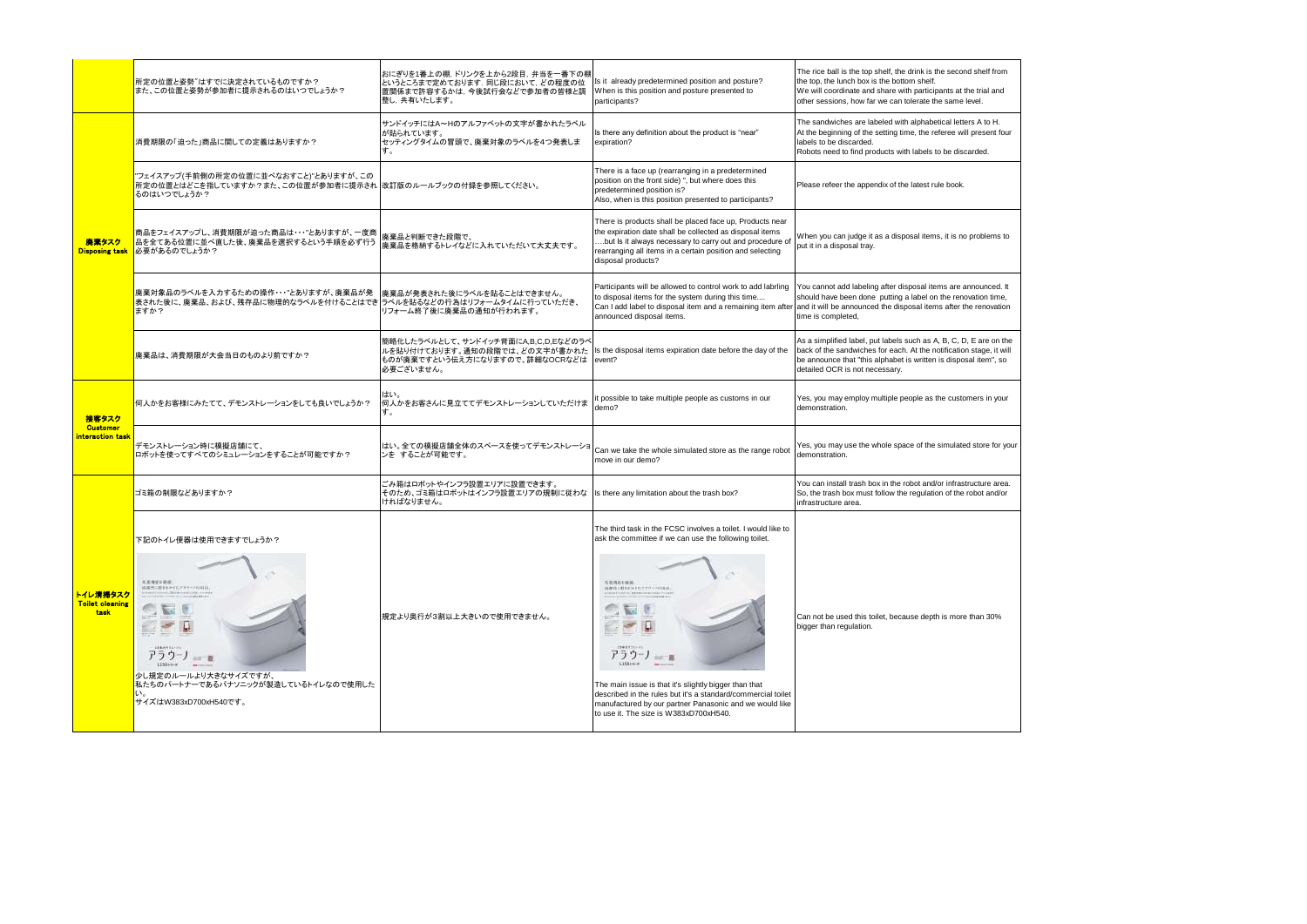|                                            | 所定の位置と姿勢"はすでに決定されているものですか?<br>また、この位置と姿勢が参加者に提示されるのはいつでしょうか?                                                        | おにぎりを1番上の棚,ドリンクを上から2段目,弁当を一番下の棚<br>というところまで定めております. 同じ段において、どの程度の位<br> 置関係まで許容するかは, 今後試行会などで参加者の皆様と調<br> 整し,共有いたします。 | Is it already predetermined position and posture?<br>When is this position and posture presented to<br>participants?                                                                                                                                                | The rice ball is the top shelf, the drink is the second shelf from<br>the top, the lunch box is the bottom shelf.<br>We will coordinate and share with participants at the trial and<br>other sessions, how far we can tolerate the same level.                                       |
|--------------------------------------------|---------------------------------------------------------------------------------------------------------------------|----------------------------------------------------------------------------------------------------------------------|---------------------------------------------------------------------------------------------------------------------------------------------------------------------------------------------------------------------------------------------------------------------|---------------------------------------------------------------------------------------------------------------------------------------------------------------------------------------------------------------------------------------------------------------------------------------|
| 廃棄タスク<br><b>Disposing task</b>             | 消費期限の「迫った」商品に関しての定義はありますか?                                                                                          | サンドイッチにはA~Hのアルファベットの文字が書かれたラベル<br>が貼られています。<br>セッティングタイムの冒頭で、廃棄対象のラベルを4つ発表しま                                         | Is there any definition about the product is "near"<br>expiration?                                                                                                                                                                                                  | The sandwiches are labeled with alphabetical letters A to H.<br>At the beginning of the setting time, the referee will present four<br>labels to be discarded.<br>Robots need to find products with labels to be discarded.                                                           |
|                                            | "フェイスアップ(手前側の所定の位置に並べなおすこと)"とありますが、この<br>所定の位置とはどこを指していますか?また、この位置が参加者に提示され  改訂版のルールブックの付録を参照してください。<br>るのはいつでしょうか? |                                                                                                                      | There is a face up (rearranging in a predetermined<br>position on the front side) ", but where does this<br>predetermined position is?<br>Also, when is this position presented to participants?                                                                    | Please refeer the appendix of the latest rule book.                                                                                                                                                                                                                                   |
|                                            | 商品をフェイスアップし、消費期限が迫った商品は・・・"とありますが、一度商<br>品を全てある位置に並べ直した後、廃棄品を選択するという手順を必ず行う<br>■必要があるのでしょうか?                        | 廃棄品と判断できた段階で、<br>廃棄品を格納するトレイなどに入れていただいて大丈夫です。                                                                        | There is products shall be placed face up, Products near<br>the expiration date shall be collected as disposal items<br>but Is it always necessary to carry out and procedure of<br>rearranging all items in a certain position and selecting<br>disposal products? | When you can judge it as a disposal items, it is no problems to<br>put it in a disposal tray.                                                                                                                                                                                         |
|                                            | 廃棄対象品のラベルを入力するための操作・・・"とありますが、廃棄品が発<br> 表された後に、廃棄品、および、残存品に物理的なラベルを付けることはでき ラベルを貼るなどの行為はリフォームタイムに行っていただき、<br>ますか?   | 廃棄品が発表された後にラベルを貼ることはできません。<br>リフォーム終了後に廃棄品の通知が行われます。                                                                 | Participants will be allowed to control work to add labrling<br>to disposal items for the system during this time<br>announced disposal items.                                                                                                                      | You cannot add labeling after disposal items are announced. It<br>should have been done putting a label on the renovation time,<br>Can I add label to disposal item and a remaining item after and it will be announced the disposal items after the renovation<br>time is completed, |
|                                            | 廃棄品は、消費期限が大会当日のものより前ですか?                                                                                            | 簡略化したラベルとして、サンドイッチ背面にA.B.C.D.Eなどのラベ<br>ルを貼り付けております。通知の段階では、どの文字が書かれた<br>ものが廃棄ですという伝え方になりますので、詳細なOCRなどは<br>必要ございません。  | Is the disposal items expiration date before the day of the<br>event?                                                                                                                                                                                               | As a simplified label, put labels such as A, B, C, D, E are on the<br>back of the sandwiches for each. At the notification stage, it will<br>be announce that "this alphabet is written is disposal item", so<br>detailed OCR is not necessary.                                       |
| 接客タスク                                      | 何人かをお客様にみたてて、デモンストレーションをしても良いでしょうか?                                                                                 | はい。<br> 何人かをお客さんに見立ててデモンストレーションしていただけま<br>す。                                                                         | possible to take multiple people as customs in our<br>demo?                                                                                                                                                                                                         | Yes, you may employ multiple people as the customers in your<br>demonstration.                                                                                                                                                                                                        |
| <b>Customer</b><br>interaction task        | デモンストレーション時に模擬店舗にて、<br>ロボットを使ってすべてのシミュレーションをすることが可能ですか?                                                             | はい。全ての模擬店舗全体のスペースを使ってデモンストレーショ<br>ンを することが可能です。                                                                      | Can we take the whole simulated store as the range robot<br>move in our demo?                                                                                                                                                                                       | Yes, you may use the whole space of the simulated store for your<br>demonstration.                                                                                                                                                                                                    |
|                                            | ゴミ箱の制限などありますか?                                                                                                      | ごみ箱はロボットやインフラ設置エリアに設置できます。<br>そのため、ゴミ箱はロボットはインフラ設置エリアの規制に従わな<br>ければなりません。                                            | Is there any limitation about the trash box?                                                                                                                                                                                                                        | You can install trash box in the robot and/or infrastructure area.<br>So, the trash box must follow the regulation of the robot and/or<br>infrastructure area.                                                                                                                        |
|                                            | 下記のトイレ便器は使用できますでしょうか?                                                                                               |                                                                                                                      | The third task in the FCSC involves a toilet. I would like to<br>ask the committee if we can use the following toilet.                                                                                                                                              |                                                                                                                                                                                                                                                                                       |
| トイレ清掃タスク<br><b>Toilet cleaning</b><br>task | 毛革每被干部的<br>済進法に革きるを行わすスラーバの結晶。<br>活送長所有52ト<br>アラウーノ<br>Like Till<br>11501-1-1                                       | 規定より奥行が3割以上大きいので使用できません。                                                                                             | <b><i>SERRINK</i></b><br>高潮性に関係を計画するサッコの変点<br>生産体生きさむ<br>アラウー<br>L15814-A                                                                                                                                                                                           | Can not be used this toilet, because depth is more than 30%<br>bigger than regulation.                                                                                                                                                                                                |
|                                            | 少し規定のルールより大きなサイズですが、<br>私たちのパートナーであるパナソニックが製造しているトイレなので使用した<br>サイズはW383xD700xH540です。                                |                                                                                                                      | The main issue is that it's slightly bigger than that<br>described in the rules but it's a standard/commercial toilet<br>manufactured by our partner Panasonic and we would like<br>to use it. The size is W383xD700xH540.                                          |                                                                                                                                                                                                                                                                                       |